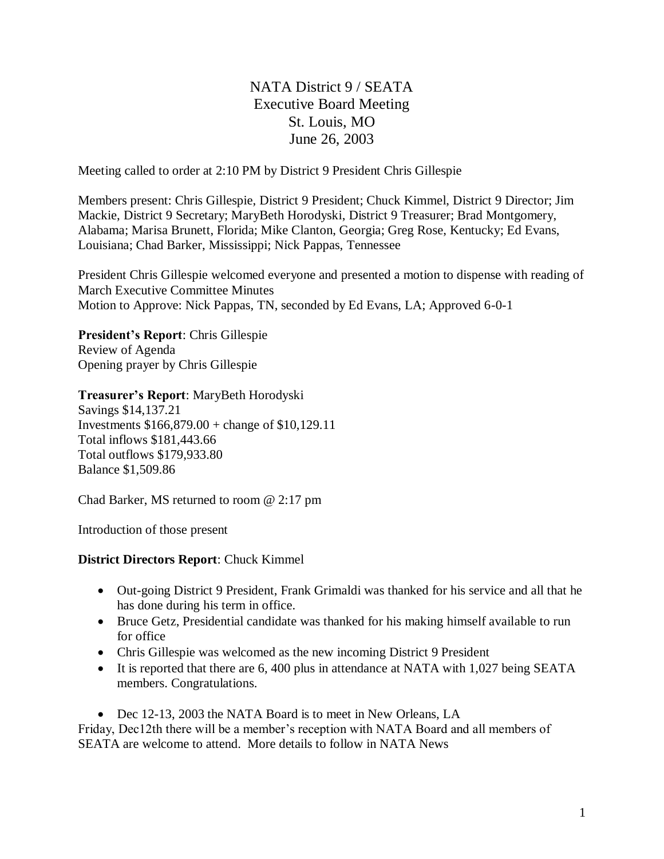# NATA District 9 / SEATA Executive Board Meeting St. Louis, MO June 26, 2003

Meeting called to order at 2:10 PM by District 9 President Chris Gillespie

Members present: Chris Gillespie, District 9 President; Chuck Kimmel, District 9 Director; Jim Mackie, District 9 Secretary; MaryBeth Horodyski, District 9 Treasurer; Brad Montgomery, Alabama; Marisa Brunett, Florida; Mike Clanton, Georgia; Greg Rose, Kentucky; Ed Evans, Louisiana; Chad Barker, Mississippi; Nick Pappas, Tennessee

President Chris Gillespie welcomed everyone and presented a motion to dispense with reading of March Executive Committee Minutes Motion to Approve: Nick Pappas, TN, seconded by Ed Evans, LA; Approved 6-0-1

**President's Report**: Chris Gillespie Review of Agenda Opening prayer by Chris Gillespie

**Treasurer's Report**: MaryBeth Horodyski

Savings \$14,137.21 Investments \$166,879.00 + change of \$10,129.11 Total inflows \$181,443.66 Total outflows \$179,933.80 Balance \$1,509.86

Chad Barker, MS returned to room @ 2:17 pm

Introduction of those present

## **District Directors Report**: Chuck Kimmel

- Out-going District 9 President, Frank Grimaldi was thanked for his service and all that he has done during his term in office.
- Bruce Getz, Presidential candidate was thanked for his making himself available to run for office
- Chris Gillespie was welcomed as the new incoming District 9 President
- It is reported that there are 6, 400 plus in attendance at NATA with 1,027 being SEATA members. Congratulations.
- Dec 12-13, 2003 the NATA Board is to meet in New Orleans, LA

Friday, Dec12th there will be a member's reception with NATA Board and all members of SEATA are welcome to attend. More details to follow in NATA News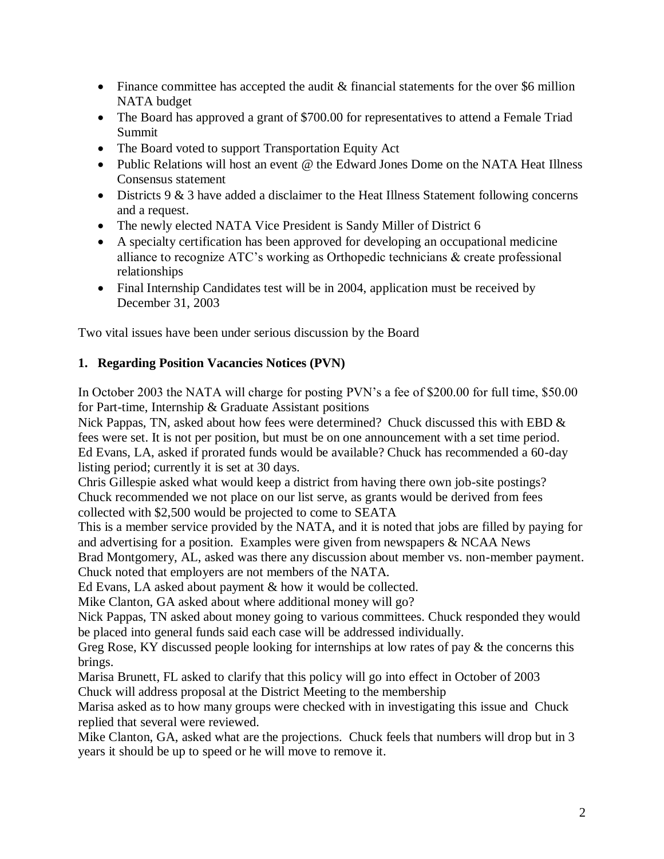- Finance committee has accepted the audit & financial statements for the over \$6 million NATA budget
- The Board has approved a grant of \$700.00 for representatives to attend a Female Triad Summit
- The Board voted to support Transportation Equity Act
- Public Relations will host an event @ the Edward Jones Dome on the NATA Heat Illness Consensus statement
- Districts 9 & 3 have added a disclaimer to the Heat Illness Statement following concerns and a request.
- The newly elected NATA Vice President is Sandy Miller of District 6
- A specialty certification has been approved for developing an occupational medicine alliance to recognize ATC's working as Orthopedic technicians & create professional relationships
- Final Internship Candidates test will be in 2004, application must be received by December 31, 2003

Two vital issues have been under serious discussion by the Board

# **1. Regarding Position Vacancies Notices (PVN)**

In October 2003 the NATA will charge for posting PVN's a fee of \$200.00 for full time, \$50.00 for Part-time, Internship & Graduate Assistant positions

Nick Pappas, TN, asked about how fees were determined? Chuck discussed this with EBD & fees were set. It is not per position, but must be on one announcement with a set time period. Ed Evans, LA, asked if prorated funds would be available? Chuck has recommended a 60-day listing period; currently it is set at 30 days.

Chris Gillespie asked what would keep a district from having there own job-site postings? Chuck recommended we not place on our list serve, as grants would be derived from fees collected with \$2,500 would be projected to come to SEATA

This is a member service provided by the NATA, and it is noted that jobs are filled by paying for and advertising for a position. Examples were given from newspapers & NCAA News

Brad Montgomery, AL, asked was there any discussion about member vs. non-member payment. Chuck noted that employers are not members of the NATA.

Ed Evans, LA asked about payment & how it would be collected.

Mike Clanton, GA asked about where additional money will go?

Nick Pappas, TN asked about money going to various committees. Chuck responded they would be placed into general funds said each case will be addressed individually.

Greg Rose, KY discussed people looking for internships at low rates of pay & the concerns this brings.

Marisa Brunett, FL asked to clarify that this policy will go into effect in October of 2003 Chuck will address proposal at the District Meeting to the membership

Marisa asked as to how many groups were checked with in investigating this issue and Chuck replied that several were reviewed.

Mike Clanton, GA, asked what are the projections. Chuck feels that numbers will drop but in 3 years it should be up to speed or he will move to remove it.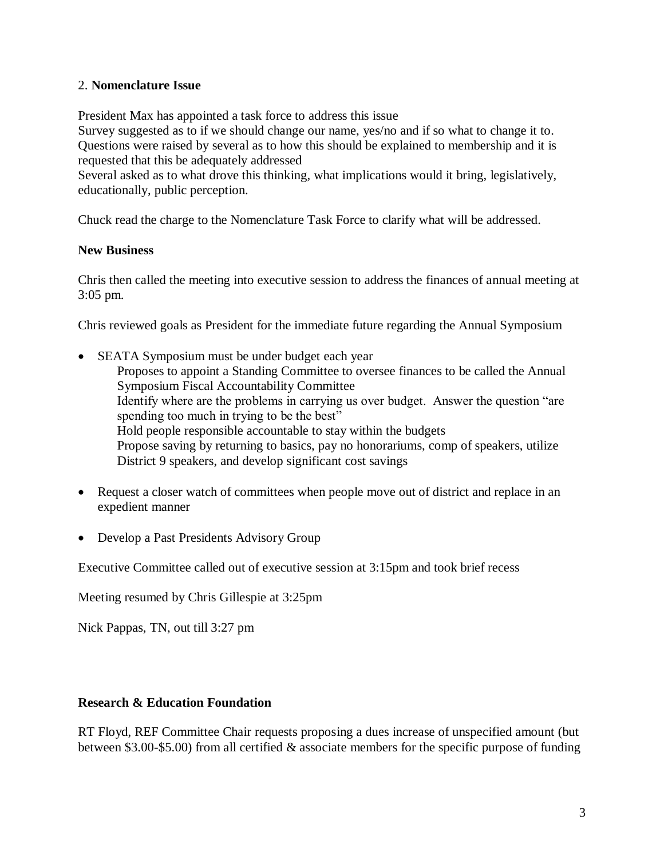#### 2. **Nomenclature Issue**

President Max has appointed a task force to address this issue

Survey suggested as to if we should change our name, yes/no and if so what to change it to. Questions were raised by several as to how this should be explained to membership and it is requested that this be adequately addressed

Several asked as to what drove this thinking, what implications would it bring, legislatively, educationally, public perception.

Chuck read the charge to the Nomenclature Task Force to clarify what will be addressed.

#### **New Business**

Chris then called the meeting into executive session to address the finances of annual meeting at 3:05 pm.

Chris reviewed goals as President for the immediate future regarding the Annual Symposium

- SEATA Symposium must be under budget each year Proposes to appoint a Standing Committee to oversee finances to be called the Annual Symposium Fiscal Accountability Committee Identify where are the problems in carrying us over budget. Answer the question "are spending too much in trying to be the best" Hold people responsible accountable to stay within the budgets Propose saving by returning to basics, pay no honorariums, comp of speakers, utilize District 9 speakers, and develop significant cost savings
- Request a closer watch of committees when people move out of district and replace in an expedient manner
- Develop a Past Presidents Advisory Group

Executive Committee called out of executive session at 3:15pm and took brief recess

Meeting resumed by Chris Gillespie at 3:25pm

Nick Pappas, TN, out till 3:27 pm

#### **Research & Education Foundation**

RT Floyd, REF Committee Chair requests proposing a dues increase of unspecified amount (but between \$3.00-\$5.00) from all certified & associate members for the specific purpose of funding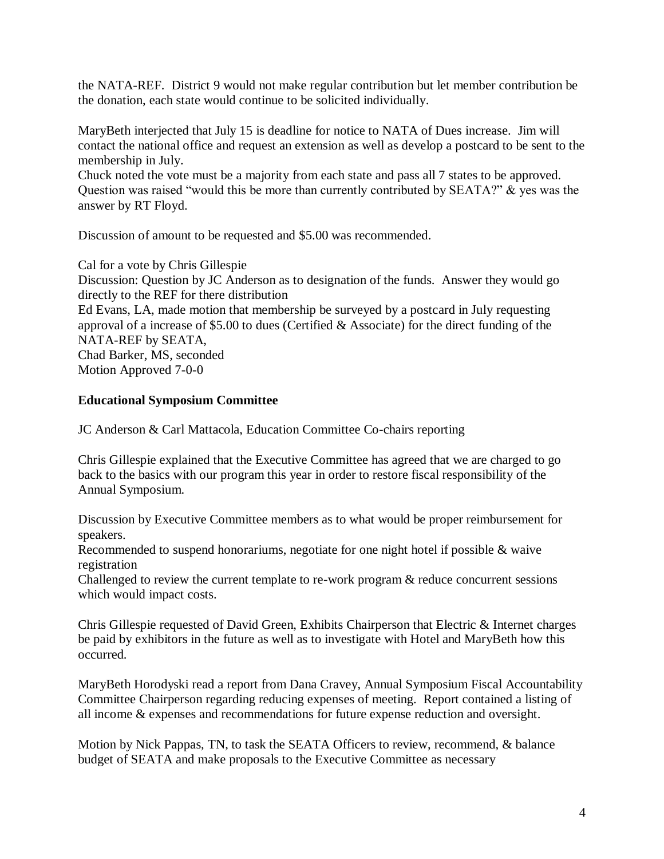the NATA-REF. District 9 would not make regular contribution but let member contribution be the donation, each state would continue to be solicited individually.

MaryBeth interjected that July 15 is deadline for notice to NATA of Dues increase. Jim will contact the national office and request an extension as well as develop a postcard to be sent to the membership in July.

Chuck noted the vote must be a majority from each state and pass all 7 states to be approved. Question was raised "would this be more than currently contributed by SEATA?" & yes was the answer by RT Floyd.

Discussion of amount to be requested and \$5.00 was recommended.

Cal for a vote by Chris Gillespie Discussion: Question by JC Anderson as to designation of the funds. Answer they would go directly to the REF for there distribution

Ed Evans, LA, made motion that membership be surveyed by a postcard in July requesting approval of a increase of \$5.00 to dues (Certified & Associate) for the direct funding of the NATA-REF by SEATA, Chad Barker, MS, seconded Motion Approved 7-0-0

## **Educational Symposium Committee**

JC Anderson & Carl Mattacola, Education Committee Co-chairs reporting

Chris Gillespie explained that the Executive Committee has agreed that we are charged to go back to the basics with our program this year in order to restore fiscal responsibility of the Annual Symposium.

Discussion by Executive Committee members as to what would be proper reimbursement for speakers.

Recommended to suspend honorariums, negotiate for one night hotel if possible & waive registration

Challenged to review the current template to re-work program & reduce concurrent sessions which would impact costs.

Chris Gillespie requested of David Green, Exhibits Chairperson that Electric & Internet charges be paid by exhibitors in the future as well as to investigate with Hotel and MaryBeth how this occurred.

MaryBeth Horodyski read a report from Dana Cravey, Annual Symposium Fiscal Accountability Committee Chairperson regarding reducing expenses of meeting. Report contained a listing of all income & expenses and recommendations for future expense reduction and oversight.

Motion by Nick Pappas, TN, to task the SEATA Officers to review, recommend, & balance budget of SEATA and make proposals to the Executive Committee as necessary